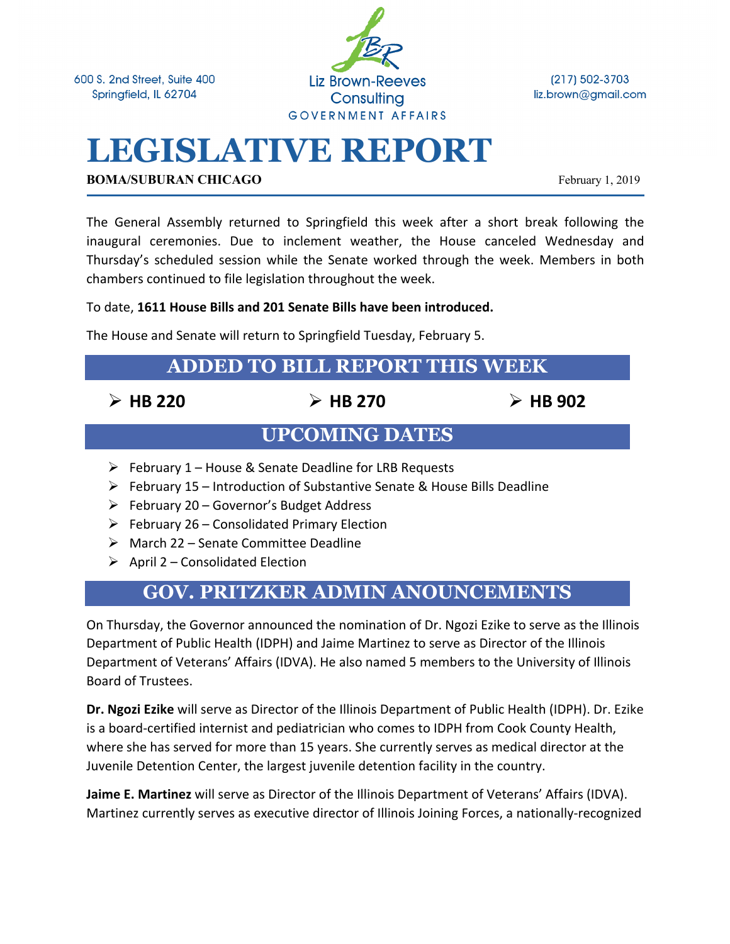600 S. 2nd Street, Suite 400 Springfield, IL 62704



(217) 502-3703 liz.brown@gmail.com

# **LEGISLATIVE REPORT**

**BOMA/SUBURAN CHICAGO** February 1, 2019

The General Assembly returned to Springfield this week after a short break following the inaugural ceremonies. Due to inclement weather, the House canceled Wednesday and Thursday's scheduled session while the Senate worked through the week. Members in both chambers continued to file legislation throughout the week.

### To date, **1611 House Bills and 201 Senate Bills have been introduced.**

The House and Senate will return to Springfield Tuesday, February 5.

# **ADDED TO BILL REPORT THIS WEEK**

Ø **HB 220** Ø **HB 270** Ø **HB 902**

# **UPCOMING DATES**

- $\triangleright$  February 1 House & Senate Deadline for LRB Requests
- Ø February 15 Introduction of Substantive Senate & House Bills Deadline
- $\triangleright$  February 20 Governor's Budget Address
- $\triangleright$  February 26 Consolidated Primary Election
- $\triangleright$  March 22 Senate Committee Deadline
- $\triangleright$  April 2 Consolidated Election

# **GOV. PRITZKER ADMIN ANOUNCEMENTS**

On Thursday, the Governor announced the nomination of Dr. Ngozi Ezike to serve as the Illinois Department of Public Health (IDPH) and Jaime Martinez to serve as Director of the Illinois Department of Veterans' Affairs (IDVA). He also named 5 members to the University of Illinois Board of Trustees.

**Dr. Ngozi Ezike** will serve as Director of the Illinois Department of Public Health (IDPH). Dr. Ezike is a board-certified internist and pediatrician who comes to IDPH from Cook County Health, where she has served for more than 15 years. She currently serves as medical director at the Juvenile Detention Center, the largest juvenile detention facility in the country.

**Jaime E. Martinez** will serve as Director of the Illinois Department of Veterans' Affairs (IDVA). Martinez currently serves as executive director of Illinois Joining Forces, a nationally-recognized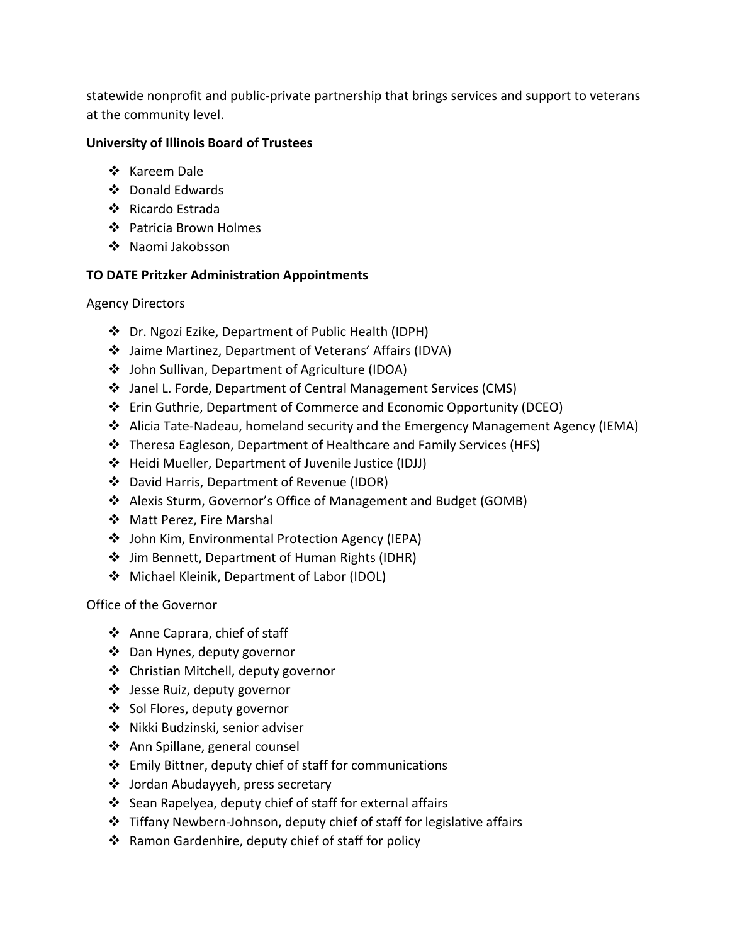statewide nonprofit and public-private partnership that brings services and support to veterans at the community level.

#### **University of Illinois Board of Trustees**

- ❖ Kareem Dale
- ❖ Donald Edwards
- ❖ Ricardo Estrada
- ❖ Patricia Brown Holmes
- ❖ Naomi Jakobsson

### **TO DATE Pritzker Administration Appointments**

#### Agency Directors

- v Dr. Ngozi Ezike, Department of Public Health (IDPH)
- v Jaime Martinez, Department of Veterans' Affairs (IDVA)
- v John Sullivan, Department of Agriculture (IDOA)
- v Janel L. Forde, Department of Central Management Services (CMS)
- v Erin Guthrie, Department of Commerce and Economic Opportunity (DCEO)
- v Alicia Tate-Nadeau, homeland security and the Emergency Management Agency (IEMA)
- v Theresa Eagleson, Department of Healthcare and Family Services (HFS)
- v Heidi Mueller, Department of Juvenile Justice (IDJJ)
- v David Harris, Department of Revenue (IDOR)
- v Alexis Sturm, Governor's Office of Management and Budget (GOMB)
- ❖ Matt Perez, Fire Marshal
- v John Kim, Environmental Protection Agency (IEPA)
- v Jim Bennett, Department of Human Rights (IDHR)
- v Michael Kleinik, Department of Labor (IDOL)

### Office of the Governor

- ❖ Anne Caprara, chief of staff
- ❖ Dan Hynes, deputy governor
- ❖ Christian Mitchell, deputy governor
- v Jesse Ruiz, deputy governor
- ❖ Sol Flores, deputy governor
- ❖ Nikki Budzinski, senior adviser
- ❖ Ann Spillane, general counsel
- $\div$  Emily Bittner, deputy chief of staff for communications
- ❖ Jordan Abudayyeh, press secretary
- $\cdot$  Sean Rapelyea, deputy chief of staff for external affairs
- $\cdot$  Tiffany Newbern-Johnson, deputy chief of staff for legislative affairs
- ❖ Ramon Gardenhire, deputy chief of staff for policy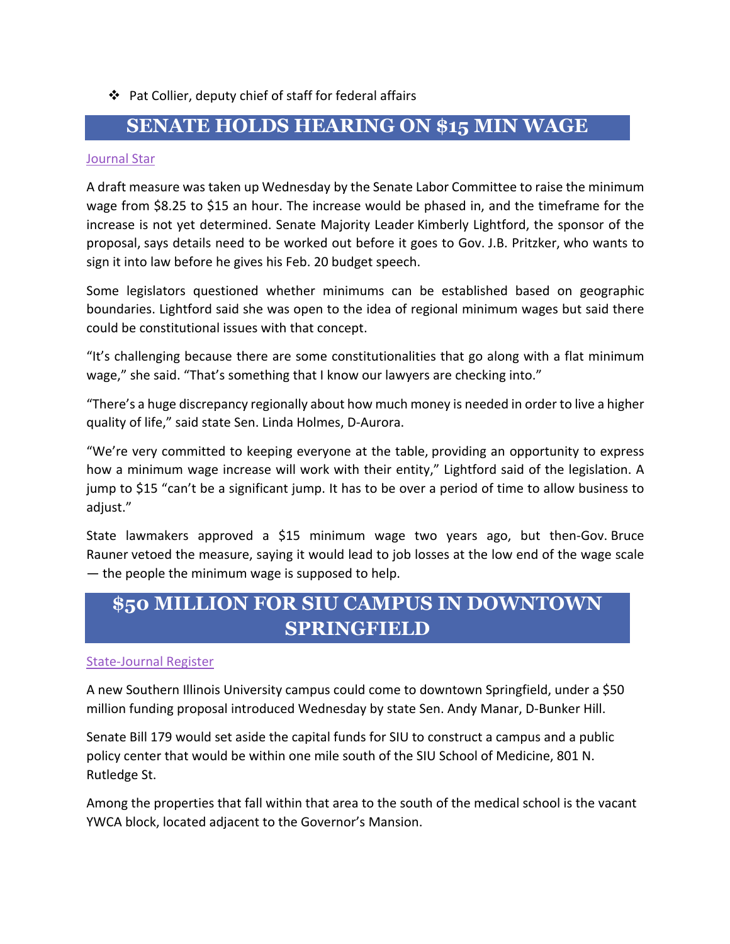### $\cdot \cdot$  Pat Collier, deputy chief of staff for federal affairs

## **SENATE HOLDS HEARING ON \$15 MIN WAGE**

#### Journal Star

A draft measure was taken up Wednesday by the Senate Labor Committee to raise the minimum wage from \$8.25 to \$15 an hour. The increase would be phased in, and the timeframe for the increase is not yet determined. Senate Majority Leader Kimberly Lightford, the sponsor of the proposal, says details need to be worked out before it goes to Gov. J.B. Pritzker, who wants to sign it into law before he gives his Feb. 20 budget speech.

Some legislators questioned whether minimums can be established based on geographic boundaries. Lightford said she was open to the idea of regional minimum wages but said there could be constitutional issues with that concept.

"It's challenging because there are some constitutionalities that go along with a flat minimum wage," she said. "That's something that I know our lawyers are checking into."

"There's a huge discrepancy regionally about how much money is needed in order to live a higher quality of life," said state Sen. Linda Holmes, D-Aurora.

"We're very committed to keeping everyone at the table, providing an opportunity to express how a minimum wage increase will work with their entity," Lightford said of the legislation. A jump to \$15 "can't be a significant jump. It has to be over a period of time to allow business to adjust."

State lawmakers approved a \$15 minimum wage two years ago, but then-Gov. Bruce Rauner vetoed the measure, saying it would lead to job losses at the low end of the wage scale — the people the minimum wage is supposed to help.

# **\$50 MILLION FOR SIU CAMPUS IN DOWNTOWN SPRINGFIELD**

#### State-Journal Register

A new Southern Illinois University campus could come to downtown Springfield, under a \$50 million funding proposal introduced Wednesday by state Sen. Andy Manar, D-Bunker Hill.

Senate Bill 179 would set aside the capital funds for SIU to construct a campus and a public policy center that would be within one mile south of the SIU School of Medicine, 801 N. Rutledge St.

Among the properties that fall within that area to the south of the medical school is the vacant YWCA block, located adjacent to the Governor's Mansion.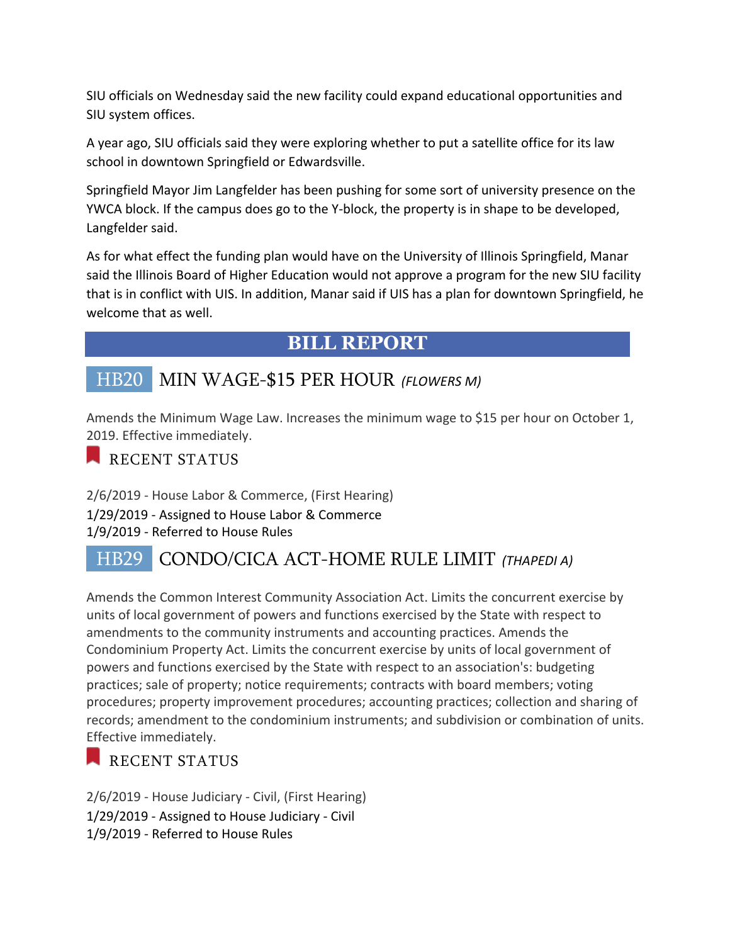SIU officials on Wednesday said the new facility could expand educational opportunities and SIU system offices.

A year ago, SIU officials said they were exploring whether to put a satellite office for its law school in downtown Springfield or Edwardsville.

Springfield Mayor Jim Langfelder has been pushing for some sort of university presence on the YWCA block. If the campus does go to the Y-block, the property is in shape to be developed, Langfelder said.

As for what effect the funding plan would have on the University of Illinois Springfield, Manar said the Illinois Board of Higher Education would not approve a program for the new SIU facility that is in conflict with UIS. In addition, Manar said if UIS has a plan for downtown Springfield, he welcome that as well.

# **BILL REPORT**

# HB20 MIN WAGE-\$15 PER HOUR *(FLOWERS M)*

Amends the Minimum Wage Law. Increases the minimum wage to \$15 per hour on October 1, 2019. Effective immediately.

## RECENT STATUS

2/6/2019 - House Labor & Commerce, (First Hearing) 1/29/2019 - Assigned to House Labor & Commerce 1/9/2019 - Referred to House Rules

# HB29 CONDO/CICA ACT-HOME RULE LIMIT *(THAPEDI A)*

Amends the Common Interest Community Association Act. Limits the concurrent exercise by units of local government of powers and functions exercised by the State with respect to amendments to the community instruments and accounting practices. Amends the Condominium Property Act. Limits the concurrent exercise by units of local government of powers and functions exercised by the State with respect to an association's: budgeting practices; sale of property; notice requirements; contracts with board members; voting procedures; property improvement procedures; accounting practices; collection and sharing of records; amendment to the condominium instruments; and subdivision or combination of units. Effective immediately.

## RECENT STATUS

2/6/2019 - House Judiciary - Civil, (First Hearing) 1/29/2019 - Assigned to House Judiciary - Civil 1/9/2019 - Referred to House Rules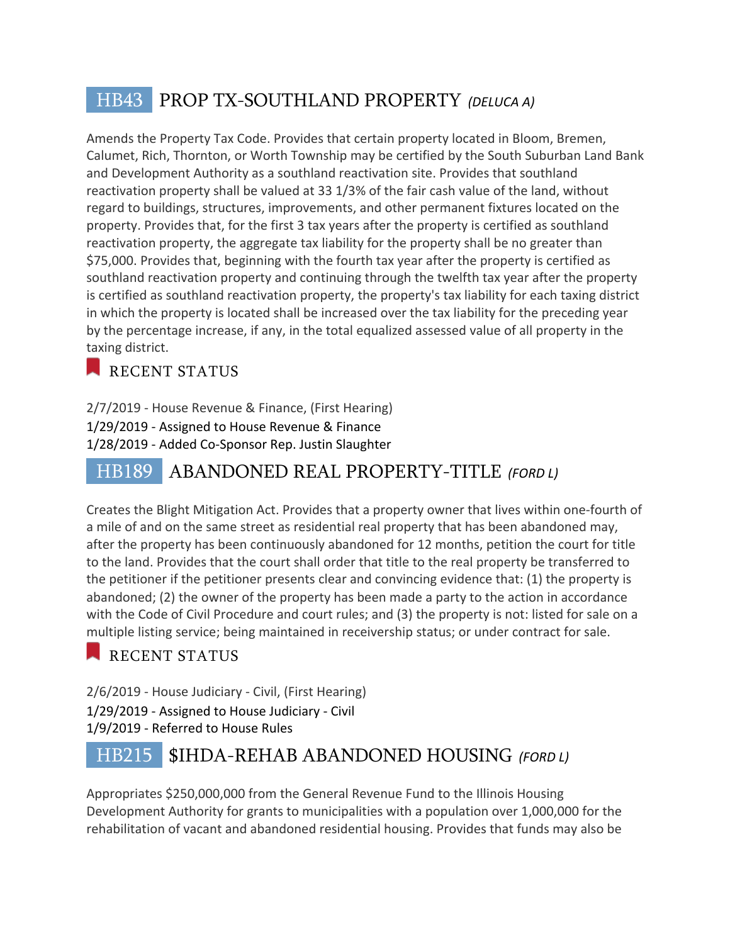# HB43 PROP TX-SOUTHLAND PROPERTY *(DELUCA A)*

Amends the Property Tax Code. Provides that certain property located in Bloom, Bremen, Calumet, Rich, Thornton, or Worth Township may be certified by the South Suburban Land Bank and Development Authority as a southland reactivation site. Provides that southland reactivation property shall be valued at 33 1/3% of the fair cash value of the land, without regard to buildings, structures, improvements, and other permanent fixtures located on the property. Provides that, for the first 3 tax years after the property is certified as southland reactivation property, the aggregate tax liability for the property shall be no greater than \$75,000. Provides that, beginning with the fourth tax year after the property is certified as southland reactivation property and continuing through the twelfth tax year after the property is certified as southland reactivation property, the property's tax liability for each taxing district in which the property is located shall be increased over the tax liability for the preceding year by the percentage increase, if any, in the total equalized assessed value of all property in the taxing district.

# RECENT STATUS

2/7/2019 - House Revenue & Finance, (First Hearing) 1/29/2019 - Assigned to House Revenue & Finance 1/28/2019 - Added Co-Sponsor Rep. Justin Slaughter

# HB189 ABANDONED REAL PROPERTY-TITLE *(FORD L)*

Creates the Blight Mitigation Act. Provides that a property owner that lives within one-fourth of a mile of and on the same street as residential real property that has been abandoned may, after the property has been continuously abandoned for 12 months, petition the court for title to the land. Provides that the court shall order that title to the real property be transferred to the petitioner if the petitioner presents clear and convincing evidence that: (1) the property is abandoned; (2) the owner of the property has been made a party to the action in accordance with the Code of Civil Procedure and court rules; and (3) the property is not: listed for sale on a multiple listing service; being maintained in receivership status; or under contract for sale.

# RECENT STATUS

2/6/2019 - House Judiciary - Civil, (First Hearing) 1/29/2019 - Assigned to House Judiciary - Civil 1/9/2019 - Referred to House Rules

# HB215 \$IHDA-REHAB ABANDONED HOUSING *(FORD L)*

Appropriates \$250,000,000 from the General Revenue Fund to the Illinois Housing Development Authority for grants to municipalities with a population over 1,000,000 for the rehabilitation of vacant and abandoned residential housing. Provides that funds may also be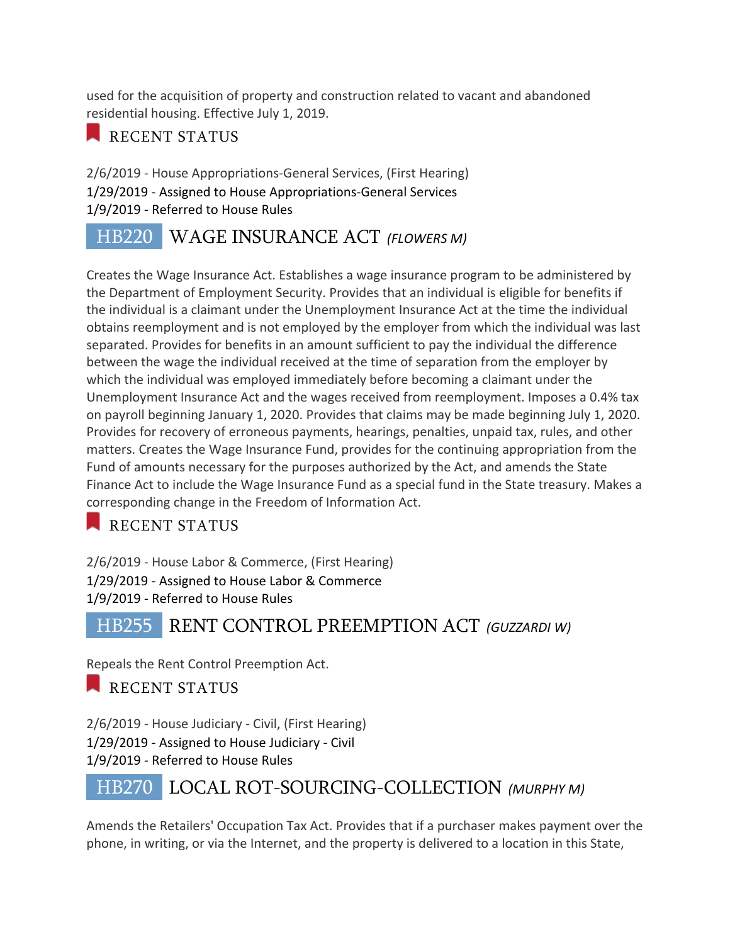used for the acquisition of property and construction related to vacant and abandoned residential housing. Effective July 1, 2019.

## RECENT STATUS

2/6/2019 - House Appropriations-General Services, (First Hearing) 1/29/2019 - Assigned to House Appropriations-General Services 1/9/2019 - Referred to House Rules

# HB220 WAGE INSURANCE ACT *(FLOWERS M)*

Creates the Wage Insurance Act. Establishes a wage insurance program to be administered by the Department of Employment Security. Provides that an individual is eligible for benefits if the individual is a claimant under the Unemployment Insurance Act at the time the individual obtains reemployment and is not employed by the employer from which the individual was last separated. Provides for benefits in an amount sufficient to pay the individual the difference between the wage the individual received at the time of separation from the employer by which the individual was employed immediately before becoming a claimant under the Unemployment Insurance Act and the wages received from reemployment. Imposes a 0.4% tax on payroll beginning January 1, 2020. Provides that claims may be made beginning July 1, 2020. Provides for recovery of erroneous payments, hearings, penalties, unpaid tax, rules, and other matters. Creates the Wage Insurance Fund, provides for the continuing appropriation from the Fund of amounts necessary for the purposes authorized by the Act, and amends the State Finance Act to include the Wage Insurance Fund as a special fund in the State treasury. Makes a corresponding change in the Freedom of Information Act.

RECENT STATUS

2/6/2019 - House Labor & Commerce, (First Hearing) 1/29/2019 - Assigned to House Labor & Commerce 1/9/2019 - Referred to House Rules

HB255 RENT CONTROL PREEMPTION ACT *(GUZZARDI W)*

Repeals the Rent Control Preemption Act.

RECENT STATUS

2/6/2019 - House Judiciary - Civil, (First Hearing) 1/29/2019 - Assigned to House Judiciary - Civil 1/9/2019 - Referred to House Rules

# HB270 LOCAL ROT-SOURCING-COLLECTION *(MURPHY M)*

Amends the Retailers' Occupation Tax Act. Provides that if a purchaser makes payment over the phone, in writing, or via the Internet, and the property is delivered to a location in this State,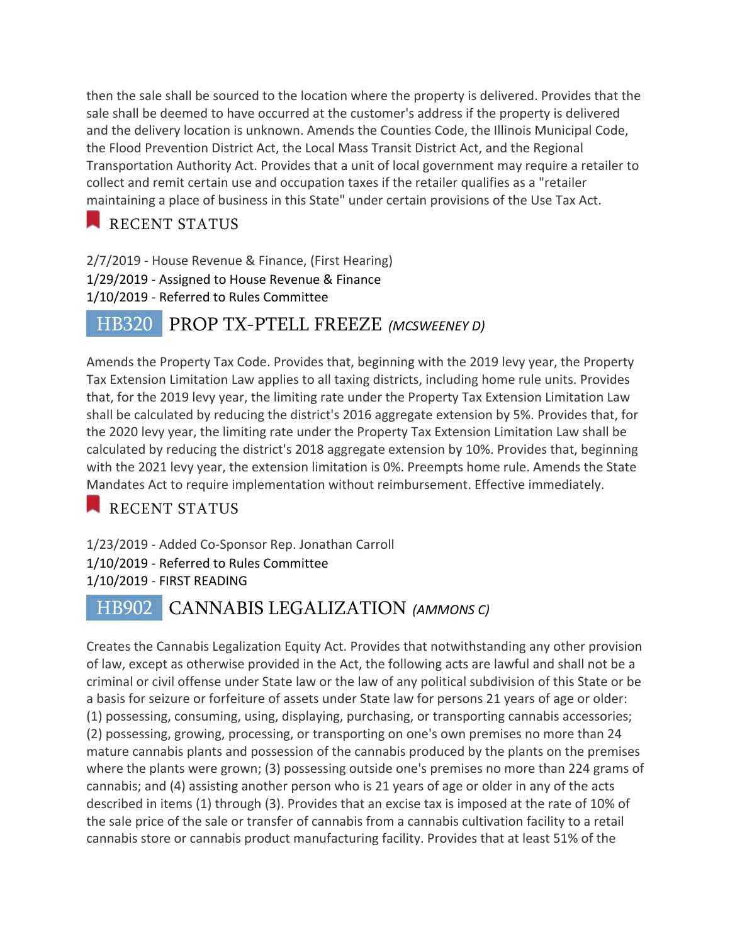then the sale shall be sourced to the location where the property is delivered. Provides that the sale shall be deemed to have occurred at the customer's address if the property is delivered and the delivery location is unknown. Amends the Counties Code, the Illinois Municipal Code, the Flood Prevention District Act, the Local Mass Transit District Act, and the Regional Transportation Authority Act. Provides that a unit of local government may require a retailer to collect and remit certain use and occupation taxes if the retailer qualifies as a "retailer maintaining a place of business in this State" under certain provisions of the Use Tax Act.

# RECENT STATUS

2/7/2019 - House Revenue & Finance, (First Hearing) 1/29/2019 - Assigned to House Revenue & Finance 1/10/2019 - Referred to Rules Committee

# HB320 PROP TX-PTELL FREEZE *(MCSWEENEY D)*

Amends the Property Tax Code. Provides that, beginning with the 2019 levy year, the Property Tax Extension Limitation Law applies to all taxing districts, including home rule units. Provides that, for the 2019 levy year, the limiting rate under the Property Tax Extension Limitation Law shall be calculated by reducing the district's 2016 aggregate extension by 5%. Provides that, for the 2020 levy year, the limiting rate under the Property Tax Extension Limitation Law shall be calculated by reducing the district's 2018 aggregate extension by 10%. Provides that, beginning with the 2021 levy year, the extension limitation is 0%. Preempts home rule. Amends the State Mandates Act to require implementation without reimbursement. Effective immediately.

RECENT STATUS

1/23/2019 - Added Co-Sponsor Rep. Jonathan Carroll 1/10/2019 - Referred to Rules Committee 1/10/2019 - FIRST READING

# HB902 CANNABIS LEGALIZATION *(AMMONS C)*

Creates the Cannabis Legalization Equity Act. Provides that notwithstanding any other provision of law, except as otherwise provided in the Act, the following acts are lawful and shall not be a criminal or civil offense under State law or the law of any political subdivision of this State or be a basis for seizure or forfeiture of assets under State law for persons 21 years of age or older: (1) possessing, consuming, using, displaying, purchasing, or transporting cannabis accessories; (2) possessing, growing, processing, or transporting on one's own premises no more than 24 mature cannabis plants and possession of the cannabis produced by the plants on the premises where the plants were grown; (3) possessing outside one's premises no more than 224 grams of cannabis; and (4) assisting another person who is 21 years of age or older in any of the acts described in items (1) through (3). Provides that an excise tax is imposed at the rate of 10% of the sale price of the sale or transfer of cannabis from a cannabis cultivation facility to a retail cannabis store or cannabis product manufacturing facility. Provides that at least 51% of the